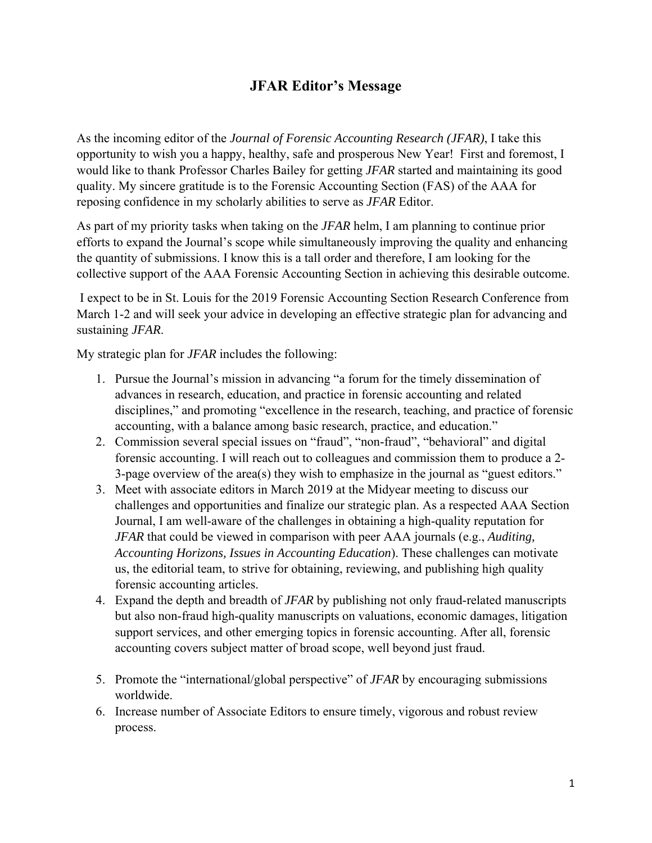## **JFAR Editor's Message**

As the incoming editor of the *Journal of Forensic Accounting Research (JFAR)*, I take this opportunity to wish you a happy, healthy, safe and prosperous New Year! First and foremost, I would like to thank Professor Charles Bailey for getting *JFAR* started and maintaining its good quality. My sincere gratitude is to the Forensic Accounting Section (FAS) of the AAA for reposing confidence in my scholarly abilities to serve as *JFAR* Editor.

As part of my priority tasks when taking on the *JFAR* helm, I am planning to continue prior efforts to expand the Journal's scope while simultaneously improving the quality and enhancing the quantity of submissions. I know this is a tall order and therefore, I am looking for the collective support of the AAA Forensic Accounting Section in achieving this desirable outcome.

 I expect to be in St. Louis for the 2019 Forensic Accounting Section Research Conference from March 1-2 and will seek your advice in developing an effective strategic plan for advancing and sustaining *JFAR*.

My strategic plan for *JFAR* includes the following:

- 1. Pursue the Journal's mission in advancing "a forum for the timely dissemination of advances in research, education, and practice in forensic accounting and related disciplines," and promoting "excellence in the research, teaching, and practice of forensic accounting, with a balance among basic research, practice, and education."
- 2. Commission several special issues on "fraud", "non-fraud", "behavioral" and digital forensic accounting. I will reach out to colleagues and commission them to produce a 2- 3-page overview of the area(s) they wish to emphasize in the journal as "guest editors."
- 3. Meet with associate editors in March 2019 at the Midyear meeting to discuss our challenges and opportunities and finalize our strategic plan. As a respected AAA Section Journal, I am well-aware of the challenges in obtaining a high-quality reputation for *JFAR* that could be viewed in comparison with peer AAA journals (e.g., *Auditing, Accounting Horizons, Issues in Accounting Education*). These challenges can motivate us, the editorial team, to strive for obtaining, reviewing, and publishing high quality forensic accounting articles.
- 4. Expand the depth and breadth of *JFAR* by publishing not only fraud-related manuscripts but also non-fraud high-quality manuscripts on valuations, economic damages, litigation support services, and other emerging topics in forensic accounting. After all, forensic accounting covers subject matter of broad scope, well beyond just fraud.
- 5. Promote the "international/global perspective" of *JFAR* by encouraging submissions worldwide.
- 6. Increase number of Associate Editors to ensure timely, vigorous and robust review process.